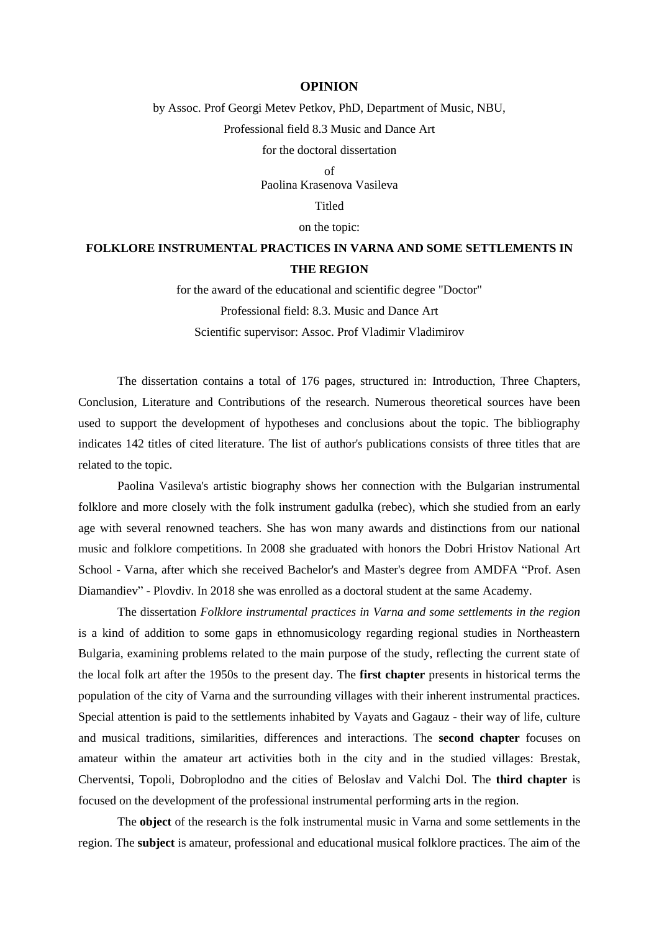## **OPINION**

## by Assoc. Prof Georgi Metev Petkov, PhD, Department of Music, NBU, Professional field 8.3 Music and Dance Art for the doctoral dissertation

 $\alpha$ f

Paolina Krasenova Vasileva

Titled

on the topic:

## **FOLKLORE INSTRUMENTAL PRACTICES IN VARNA AND SOME SETTLEMENTS IN THE REGION**

for the award of the educational and scientific degree "Doctor" Professional field: 8.3. Music and Dance Art Scientific supervisor: Assoc. Prof Vladimir Vladimirov

The dissertation contains a total of 176 pages, structured in: Introduction, Three Chapters, Conclusion, Literature and Contributions of the research. Numerous theoretical sources have been used to support the development of hypotheses and conclusions about the topic. The bibliography indicates 142 titles of cited literature. The list of author's publications consists of three titles that are related to the topic.

Paolina Vasileva's artistic biography shows her connection with the Bulgarian instrumental folklore and more closely with the folk instrument gadulka (rebec), which she studied from an early age with several renowned teachers. She has won many awards and distinctions from our national music and folklore competitions. In 2008 she graduated with honors the Dobri Hristov National Art School - Varna, after which she received Bachelor's and Master's degree from AMDFA "Prof. Asen Diamandiev" - Plovdiv. In 2018 she was enrolled as a doctoral student at the same Academy.

The dissertation *Folklore instrumental practices in Varna and some settlements in the region* is a kind of addition to some gaps in ethnomusicology regarding regional studies in Northeastern Bulgaria, examining problems related to the main purpose of the study, reflecting the current state of the local folk art after the 1950s to the present day. The **first chapter** presents in historical terms the population of the city of Varna and the surrounding villages with their inherent instrumental practices. Special attention is paid to the settlements inhabited by Vayats and Gagauz - their way of life, culture and musical traditions, similarities, differences and interactions. The **second chapter** focuses on amateur within the amateur art activities both in the city and in the studied villages: Brestak, Cherventsi, Topoli, Dobroplodno and the cities of Beloslav and Valchi Dol. The **third chapter** is focused on the development of the professional instrumental performing arts in the region.

The **object** of the research is the folk instrumental music in Varna and some settlements in the region. The **subject** is amateur, professional and educational musical folklore practices. The aim of the